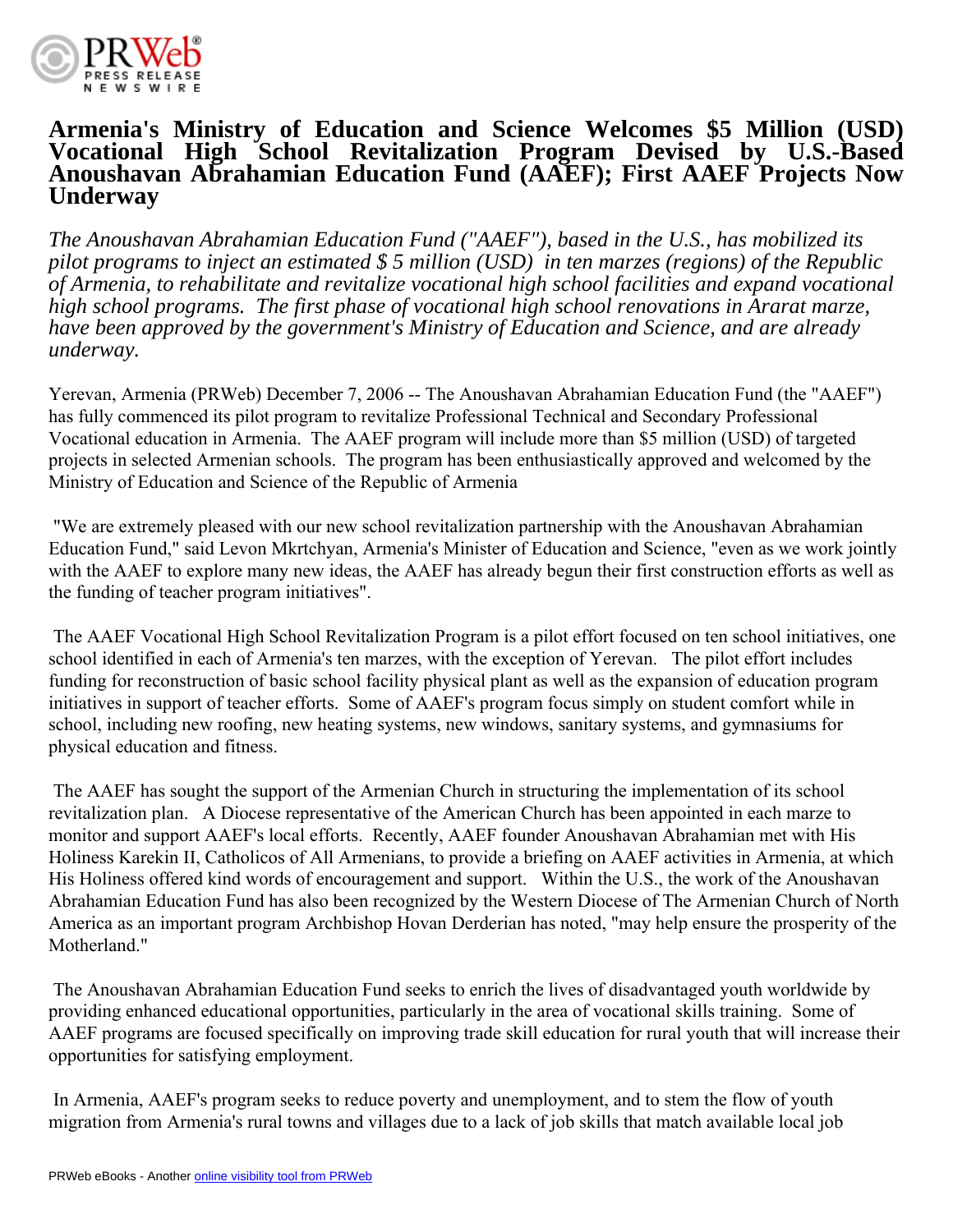

## **Armenia's Ministry of Education and Science Welcomes \$5 Million (USD) Vocational High School Revitalization Program Devised by U.S.-Based Anoushavan Abrahamian Education Fund (AAEF); First AAEF Projects Now Underway**

*The Anoushavan Abrahamian Education Fund ("AAEF"), based in the U.S., has mobilized its pilot programs to inject an estimated \$ 5 million (USD) in ten marzes (regions) of the Republic of Armenia, to rehabilitate and revitalize vocational high school facilities and expand vocational high school programs. The first phase of vocational high school renovations in Ararat marze, have been approved by the government's Ministry of Education and Science, and are already underway.*

Yerevan, Armenia (PRWeb) December 7, 2006 -- The Anoushavan Abrahamian Education Fund (the "AAEF") has fully commenced its pilot program to revitalize Professional Technical and Secondary Professional Vocational education in Armenia. The AAEF program will include more than \$5 million (USD) of targeted projects in selected Armenian schools. The program has been enthusiastically approved and welcomed by the Ministry of Education and Science of the Republic of Armenia

 "We are extremely pleased with our new school revitalization partnership with the Anoushavan Abrahamian Education Fund," said Levon Mkrtchyan, Armenia's Minister of Education and Science, "even as we work jointly with the AAEF to explore many new ideas, the AAEF has already begun their first construction efforts as well as the funding of teacher program initiatives".

 The AAEF Vocational High School Revitalization Program is a pilot effort focused on ten school initiatives, one school identified in each of Armenia's ten marzes, with the exception of Yerevan. The pilot effort includes funding for reconstruction of basic school facility physical plant as well as the expansion of education program initiatives in support of teacher efforts. Some of AAEF's program focus simply on student comfort while in school, including new roofing, new heating systems, new windows, sanitary systems, and gymnasiums for physical education and fitness.

 The AAEF has sought the support of the Armenian Church in structuring the implementation of its school revitalization plan. A Diocese representative of the American Church has been appointed in each marze to monitor and support AAEF's local efforts. Recently, AAEF founder Anoushavan Abrahamian met with His Holiness Karekin II, Catholicos of All Armenians, to provide a briefing on AAEF activities in Armenia, at which His Holiness offered kind words of encouragement and support. Within the U.S., the work of the Anoushavan Abrahamian Education Fund has also been recognized by the Western Diocese of The Armenian Church of North America as an important program Archbishop Hovan Derderian has noted, "may help ensure the prosperity of the Motherland."

 The Anoushavan Abrahamian Education Fund seeks to enrich the lives of disadvantaged youth worldwide by providing enhanced educational opportunities, particularly in the area of vocational skills training. Some of AAEF programs are focused specifically on improving trade skill education for rural youth that will increase their opportunities for satisfying employment.

 In Armenia, AAEF's program seeks to reduce poverty and unemployment, and to stem the flow of youth migration from Armenia's rural towns and villages due to a lack of job skills that match available local job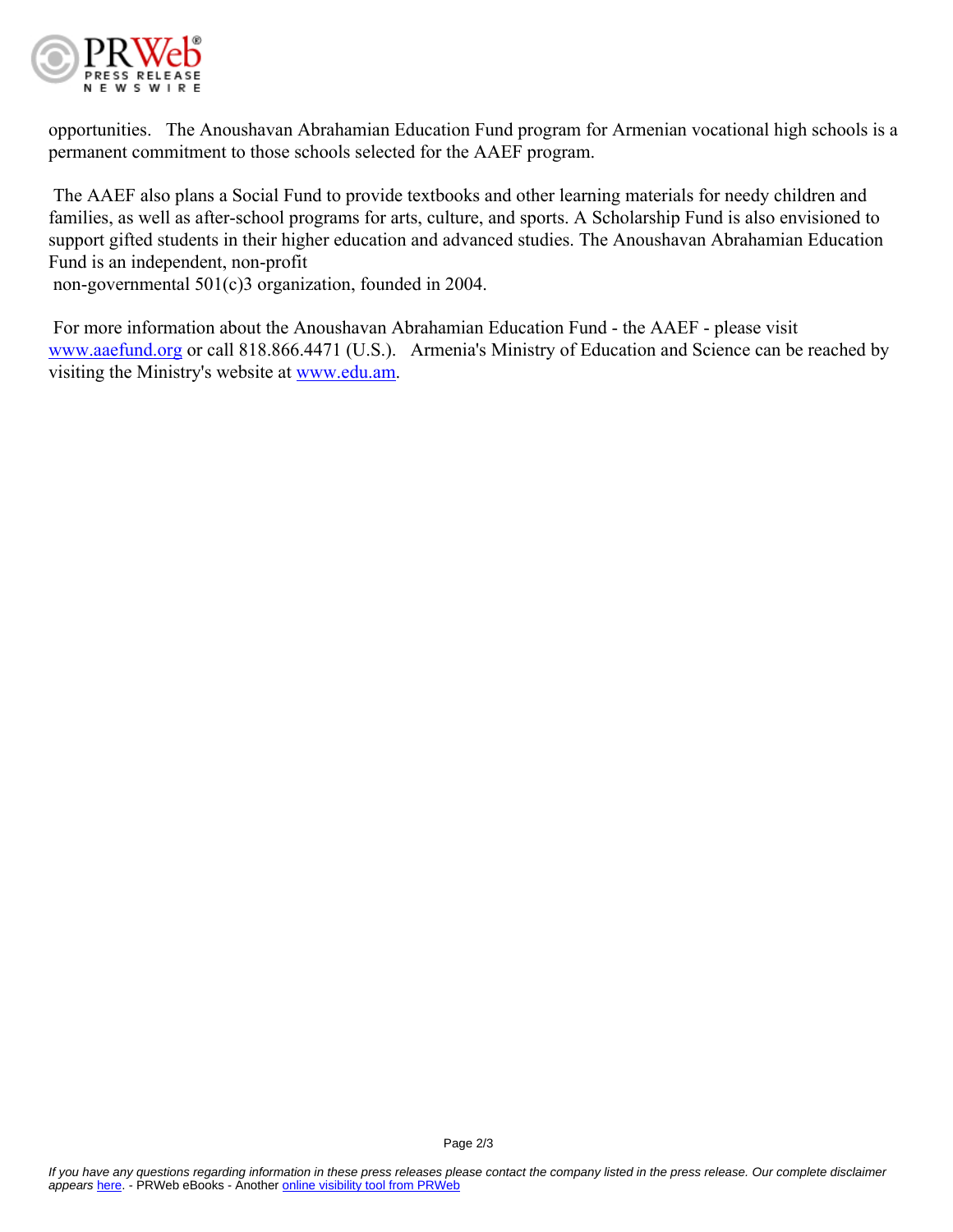

opportunities. The Anoushavan Abrahamian Education Fund program for Armenian vocational high schools is a permanent commitment to those schools selected for the AAEF program.

 The AAEF also plans a Social Fund to provide textbooks and other learning materials for needy children and families, as well as after-school programs for arts, culture, and sports. A Scholarship Fund is also envisioned to support gifted students in their higher education and advanced studies. The Anoushavan Abrahamian Education Fund is an independent, non-profit

non-governmental 501(c)3 organization, founded in 2004.

 For more information about the Anoushavan Abrahamian Education Fund - the AAEF - please visit [www.aaefund.org](http://www.aaefund.org) or call 818.866.4471 (U.S.). Armenia's Ministry of Education and Science can be reached by visiting the Ministry's website at [www.edu.am](http://www.edu.am).